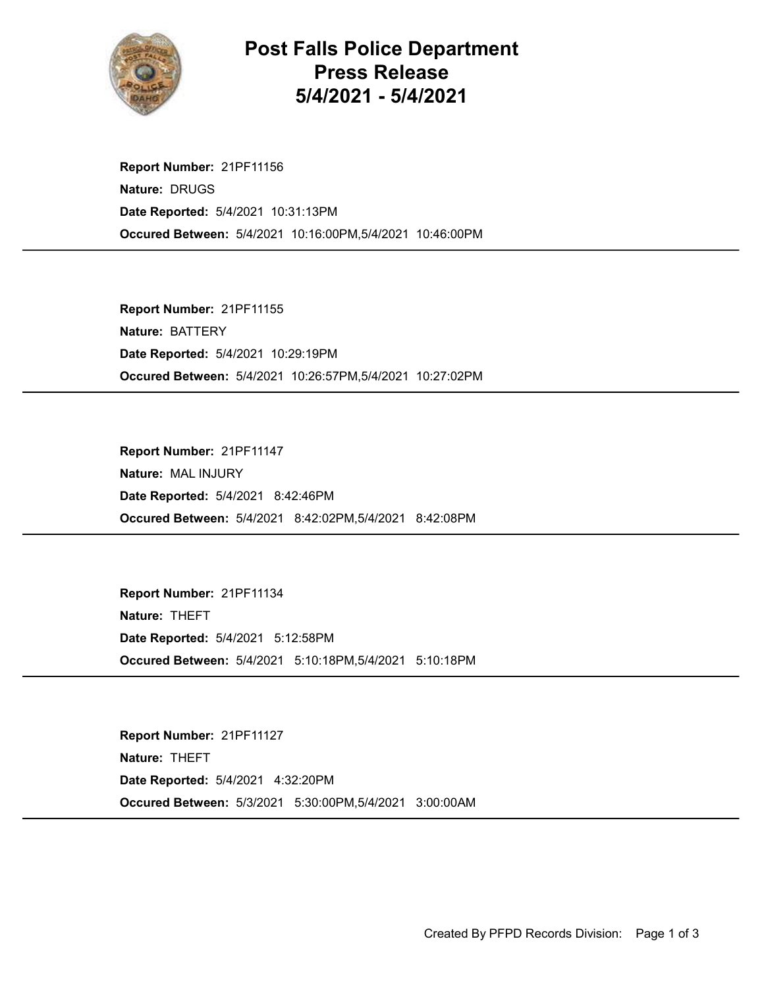

## Post Falls Police Department Press Release 5/4/2021 - 5/4/2021

Occured Between: 5/4/2021 10:16:00PM,5/4/2021 10:46:00PM Report Number: 21PF11156 Nature: DRUGS Date Reported: 5/4/2021 10:31:13PM

Occured Between: 5/4/2021 10:26:57PM,5/4/2021 10:27:02PM Report Number: 21PF11155 Nature: BATTERY Date Reported: 5/4/2021 10:29:19PM

Occured Between: 5/4/2021 8:42:02PM,5/4/2021 8:42:08PM Report Number: 21PF11147 Nature: MAL INJURY Date Reported: 5/4/2021 8:42:46PM

Occured Between: 5/4/2021 5:10:18PM,5/4/2021 5:10:18PM Report Number: 21PF11134 Nature: THEFT Date Reported: 5/4/2021 5:12:58PM

Occured Between: 5/3/2021 5:30:00PM,5/4/2021 3:00:00AM Report Number: 21PF11127 Nature: THEFT Date Reported: 5/4/2021 4:32:20PM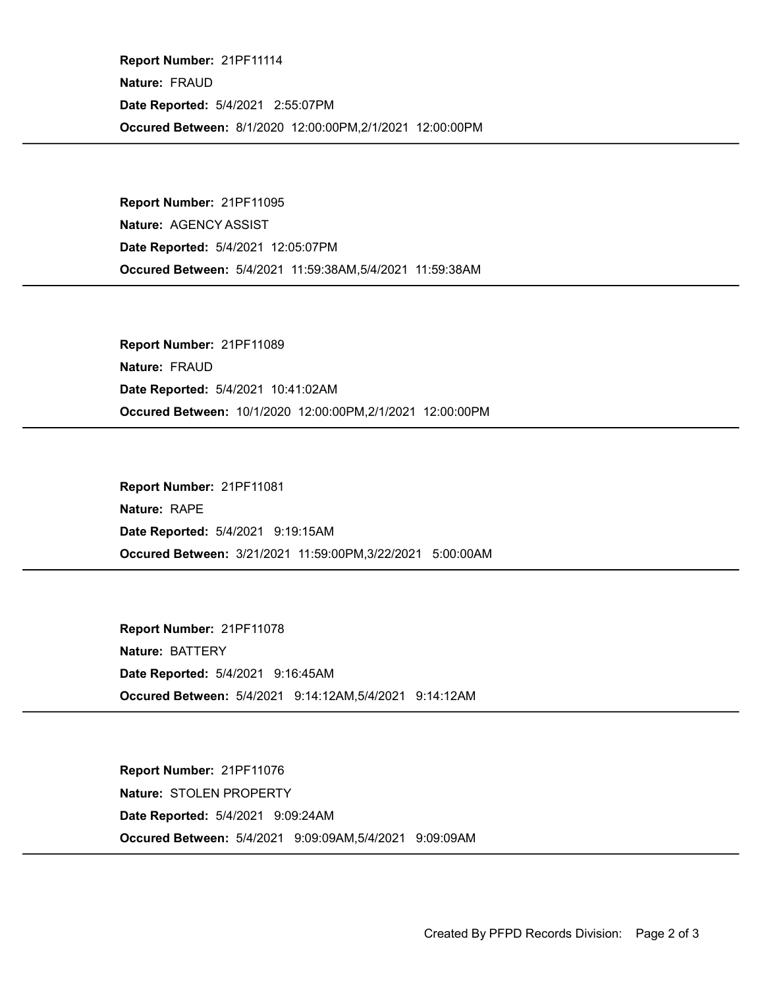Occured Between: 8/1/2020 12:00:00PM,2/1/2021 12:00:00PM Report Number: 21PF11114 Nature: FRAUD Date Reported: 5/4/2021 2:55:07PM

Occured Between: 5/4/2021 11:59:38AM,5/4/2021 11:59:38AM Report Number: 21PF11095 Nature: AGENCY ASSIST Date Reported: 5/4/2021 12:05:07PM

Occured Between: 10/1/2020 12:00:00PM,2/1/2021 12:00:00PM Report Number: 21PF11089 Nature: FRAUD Date Reported: 5/4/2021 10:41:02AM

Occured Between: 3/21/2021 11:59:00PM,3/22/2021 5:00:00AM Report Number: 21PF11081 Nature: RAPE Date Reported: 5/4/2021 9:19:15AM

Occured Between: 5/4/2021 9:14:12AM,5/4/2021 9:14:12AM Report Number: 21PF11078 Nature: BATTERY Date Reported: 5/4/2021 9:16:45AM

Occured Between: 5/4/2021 9:09:09AM,5/4/2021 9:09:09AM Report Number: 21PF11076 Nature: STOLEN PROPERTY Date Reported: 5/4/2021 9:09:24AM